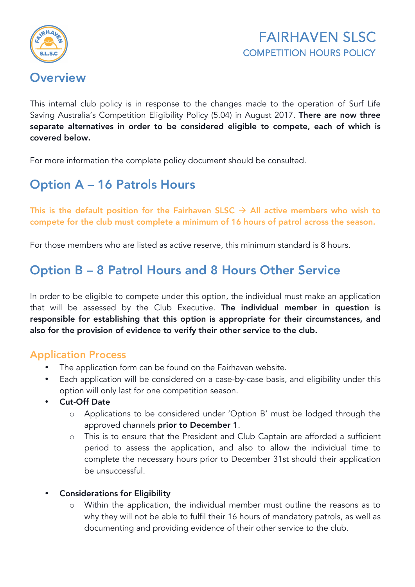

### **Overview**

This internal club policy is in response to the changes made to the operation of Surf Life Saving Australia's Competition Eligibility Policy (5.04) in August 2017. There are now three separate alternatives in order to be considered eligible to compete, each of which is covered below.

For more information the complete policy document should be consulted.

# Option A – 16 Patrols Hours

This is the default position for the Fairhaven SLSC  $\rightarrow$  All active members who wish to compete for the club must complete a minimum of 16 hours of patrol across the season.

For those members who are listed as active reserve, this minimum standard is 8 hours.

## Option B – 8 Patrol Hours and 8 Hours Other Service

In order to be eligible to compete under this option, the individual must make an application that will be assessed by the Club Executive. The individual member in question is responsible for establishing that this option is appropriate for their circumstances, and also for the provision of evidence to verify their other service to the club.

#### Application Process

- The application form can be found on the Fairhaven website.
- Each application will be considered on a case-by-case basis, and eligibility under this option will only last for one competition season.
- **Cut-Off Date** 
	- o Applications to be considered under 'Option B' must be lodged through the approved channels prior to December 1.
	- o This is to ensure that the President and Club Captain are afforded a sufficient period to assess the application, and also to allow the individual time to complete the necessary hours prior to December 31st should their application be unsuccessful.
- Considerations for Eligibility
	- o Within the application, the individual member must outline the reasons as to why they will not be able to fulfil their 16 hours of mandatory patrols, as well as documenting and providing evidence of their other service to the club.